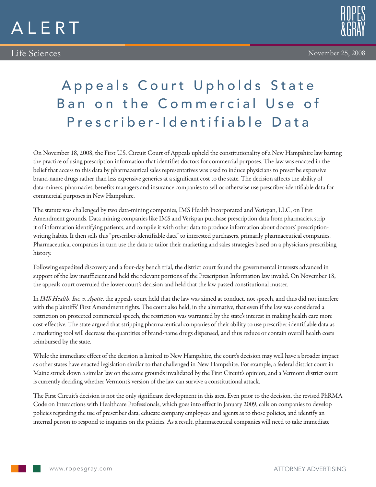



November 25, 2008

## Appeals Court Upholds State Ban on the Commercial Use of Prescriber-Identifiable Data

On November 18, 2008, the First U.S. Circuit Court of Appeals upheld the constitutionality of a New Hampshire law barring the practice of using prescription information that identifies doctors for commercial purposes. The law was enacted in the belief that access to this data by pharmaceutical sales representatives was used to induce physicians to prescribe expensive brand-name drugs rather than less expensive generics at a significant cost to the state. The decision affects the ability of data-miners, pharmacies, benefits managers and insurance companies to sell or otherwise use prescriber-identifiable data for commercial purposes in New Hampshire.

The statute was challenged by two data-mining companies, IMS Health Incorporated and Verispan, LLC, on First Amendment grounds. Data mining companies like IMS and Verispan purchase prescription data from pharmacies, strip it of information identifying patients, and compile it with other data to produce information about doctors' prescriptionwriting habits. It then sells this "prescriber-identifiable data" to interested purchasers, primarily pharmaceutical companies. Pharmaceutical companies in turn use the data to tailor their marketing and sales strategies based on a physician's prescribing history.

Following expedited discovery and a four-day bench trial, the district court found the governmental interests advanced in support of the law insufficient and held the relevant portions of the Prescription Information law invalid. On November 18, the appeals court overruled the lower court's decision and held that the law passed constitutional muster.

In *IMS Health, Inc. v. Ayotte*, the appeals court held that the law was aimed at conduct, not speech, and thus did not interfere with the plaintiffs' First Amendment rights. The court also held, in the alternative, that even if the law was considered a restriction on protected commercial speech, the restriction was warranted by the state's interest in making health care more cost-effective. The state argued that stripping pharmaceutical companies of their ability to use prescriber-identifiable data as a marketing tool will decrease the quantities of brand-name drugs dispensed, and thus reduce or contain overall health costs reimbursed by the state.

While the immediate effect of the decision is limited to New Hampshire, the court's decision may well have a broader impact as other states have enacted legislation similar to that challenged in New Hampshire. For example, a federal district court in Maine struck down a similar law on the same grounds invalidated by the First Circuit's opinion, and a Vermont district court is currently deciding whether Vermont's version of the law can survive a constitutional attack.

The First Circuit's decision is not the only significant development in this area. Even prior to the decision, the revised PhRMA Code on Interactions with Healthcare Professionals, which goes into effect in January 2009, calls on companies to develop policies regarding the use of prescriber data, educate company employees and agents as to those policies, and identify an internal person to respond to inquiries on the policies. As a result, pharmaceutical companies will need to take immediate